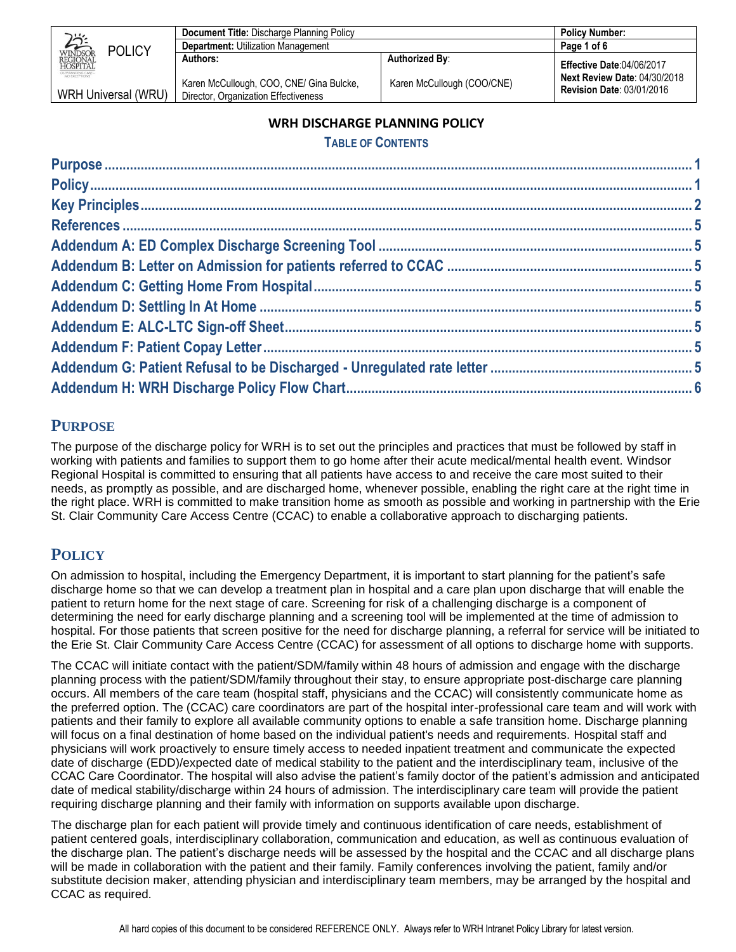|                                                                  | <b>Document Title: Discharge Planning Policy</b>                                 |                            | <b>Policy Number:</b>                                                   |
|------------------------------------------------------------------|----------------------------------------------------------------------------------|----------------------------|-------------------------------------------------------------------------|
| <b>POLICY</b>                                                    | <b>Department: Utilization Management</b>                                        |                            | Page 1 of 6                                                             |
| WINDSOR<br>REGIONAL<br>HOSPITAL                                  | Authors:                                                                         | Authorized By:             | <b>Effective Date:04/06/2017</b>                                        |
| OUTSTANDING CARE-<br>NO EXCEPTIONS<br><b>WRH Universal (WRU)</b> | Karen McCullough, COO, CNE/ Gina Bulcke,<br>Director, Organization Effectiveness | Karen McCullough (COO/CNE) | <b>Next Review Date: 04/30/2018</b><br><b>Revision Date: 03/01/2016</b> |

### **WRH DISCHARGE PLANNING POLICY**

### **TABLE OF CONTENTS**

## <span id="page-0-0"></span>**PURPOSE**

The purpose of the discharge policy for WRH is to set out the principles and practices that must be followed by staff in working with patients and families to support them to go home after their acute medical/mental health event. Windsor Regional Hospital is committed to ensuring that all patients have access to and receive the care most suited to their needs, as promptly as possible, and are discharged home, whenever possible, enabling the right care at the right time in the right place. WRH is committed to make transition home as smooth as possible and working in partnership with the Erie St. Clair Community Care Access Centre (CCAC) to enable a collaborative approach to discharging patients.

# <span id="page-0-1"></span>**POLICY**

On admission to hospital, including the Emergency Department, it is important to start planning for the patient's safe discharge home so that we can develop a treatment plan in hospital and a care plan upon discharge that will enable the patient to return home for the next stage of care. Screening for risk of a challenging discharge is a component of determining the need for early discharge planning and a screening tool will be implemented at the time of admission to hospital. For those patients that screen positive for the need for discharge planning, a referral for service will be initiated to the Erie St. Clair Community Care Access Centre (CCAC) for assessment of all options to discharge home with supports.

The CCAC will initiate contact with the patient/SDM/family within 48 hours of admission and engage with the discharge planning process with the patient/SDM/family throughout their stay, to ensure appropriate post-discharge care planning occurs. All members of the care team (hospital staff, physicians and the CCAC) will consistently communicate home as the preferred option. The (CCAC) care coordinators are part of the hospital inter-professional care team and will work with patients and their family to explore all available community options to enable a safe transition home. Discharge planning will focus on a final destination of home based on the individual patient's needs and requirements. Hospital staff and physicians will work proactively to ensure timely access to needed inpatient treatment and communicate the expected date of discharge (EDD)/expected date of medical stability to the patient and the interdisciplinary team, inclusive of the CCAC Care Coordinator. The hospital will also advise the patient's family doctor of the patient's admission and anticipated date of medical stability/discharge within 24 hours of admission. The interdisciplinary care team will provide the patient requiring discharge planning and their family with information on supports available upon discharge.

The discharge plan for each patient will provide timely and continuous identification of care needs, establishment of patient centered goals, interdisciplinary collaboration, communication and education, as well as continuous evaluation of the discharge plan. The patient's discharge needs will be assessed by the hospital and the CCAC and all discharge plans will be made in collaboration with the patient and their family. Family conferences involving the patient, family and/or substitute decision maker, attending physician and interdisciplinary team members, may be arranged by the hospital and CCAC as required.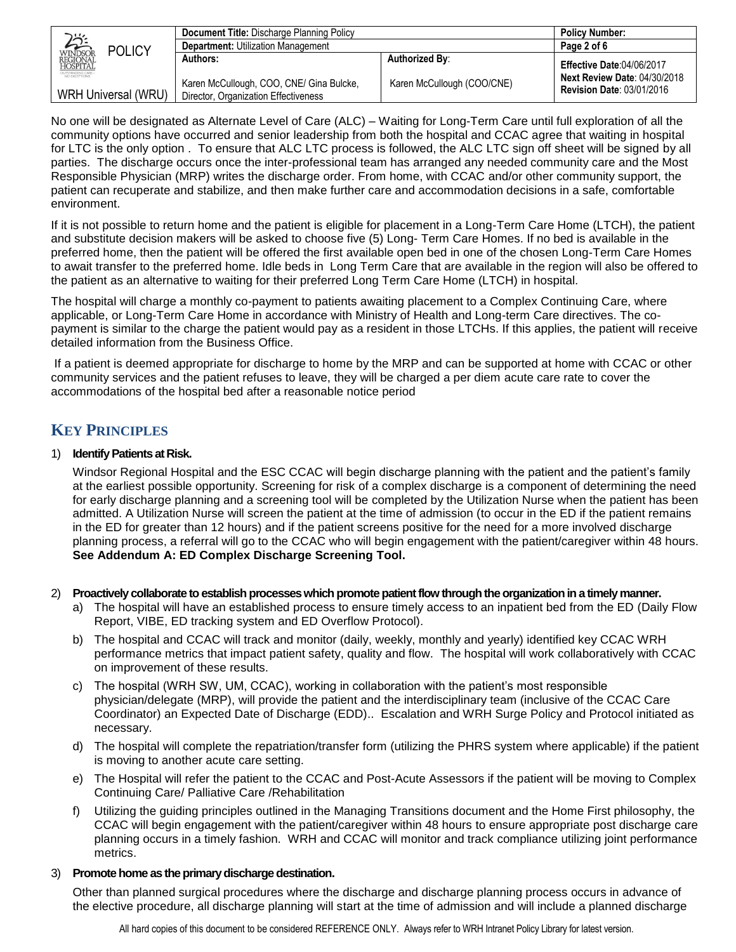|                                                           | Document Title: Discharge Planning Policy                                        |                            | <b>Policy Number:</b>                                                   |
|-----------------------------------------------------------|----------------------------------------------------------------------------------|----------------------------|-------------------------------------------------------------------------|
| <b>POLICY</b>                                             | <b>Department: Utilization Management</b>                                        |                            | Page 2 of 6                                                             |
| <b>AAAA</b>                                               | Authors:                                                                         | <b>Authorized By:</b>      | <b>Effective Date:04/06/2017</b>                                        |
| OUTSTANDING CARE-<br>NO EXCEPTIONS<br>WRH Universal (WRU) | Karen McCullough, COO, CNE/ Gina Bulcke,<br>Director, Organization Effectiveness | Karen McCullough (COO/CNE) | <b>Next Review Date: 04/30/2018</b><br><b>Revision Date: 03/01/2016</b> |

No one will be designated as Alternate Level of Care (ALC) – Waiting for Long-Term Care until full exploration of all the community options have occurred and senior leadership from both the hospital and CCAC agree that waiting in hospital for LTC is the only option . To ensure that ALC LTC process is followed, the ALC LTC sign off sheet will be signed by all parties. The discharge occurs once the inter-professional team has arranged any needed community care and the Most Responsible Physician (MRP) writes the discharge order. From home, with CCAC and/or other community support, the patient can recuperate and stabilize, and then make further care and accommodation decisions in a safe, comfortable environment.

If it is not possible to return home and the patient is eligible for placement in a Long-Term Care Home (LTCH), the patient and substitute decision makers will be asked to choose five (5) Long- Term Care Homes. If no bed is available in the preferred home, then the patient will be offered the first available open bed in one of the chosen Long-Term Care Homes to await transfer to the preferred home. Idle beds in Long Term Care that are available in the region will also be offered to the patient as an alternative to waiting for their preferred Long Term Care Home (LTCH) in hospital.

The hospital will charge a monthly co-payment to patients awaiting placement to a Complex Continuing Care, where applicable, or Long-Term Care Home in accordance with Ministry of Health and Long-term Care directives. The copayment is similar to the charge the patient would pay as a resident in those LTCHs. If this applies, the patient will receive detailed information from the Business Office.

If a patient is deemed appropriate for discharge to home by the MRP and can be supported at home with CCAC or other community services and the patient refuses to leave, they will be charged a per diem acute care rate to cover the accommodations of the hospital bed after a reasonable notice period

## <span id="page-1-0"></span>**KEY PRINCIPLES**

### 1) **Identify Patients at Risk.**

Windsor Regional Hospital and the ESC CCAC will begin discharge planning with the patient and the patient's family at the earliest possible opportunity. Screening for risk of a complex discharge is a component of determining the need for early discharge planning and a screening tool will be completed by the Utilization Nurse when the patient has been admitted. A Utilization Nurse will screen the patient at the time of admission (to occur in the ED if the patient remains in the ED for greater than 12 hours) and if the patient screens positive for the need for a more involved discharge planning process, a referral will go to the CCAC who will begin engagement with the patient/caregiver within 48 hours. **See Addendum A: ED Complex Discharge Screening Tool.**

2) **Proactively collaborate to establish processes which promote patient flow through the organization in a timely manner.** 

- a) The hospital will have an established process to ensure timely access to an inpatient bed from the ED (Daily Flow Report, VIBE, ED tracking system and ED Overflow Protocol).
- b) The hospital and CCAC will track and monitor (daily, weekly, monthly and yearly) identified key CCAC WRH performance metrics that impact patient safety, quality and flow. The hospital will work collaboratively with CCAC on improvement of these results.
- c) The hospital (WRH SW, UM, CCAC), working in collaboration with the patient's most responsible physician/delegate (MRP), will provide the patient and the interdisciplinary team (inclusive of the CCAC Care Coordinator) an Expected Date of Discharge (EDD).. Escalation and WRH Surge Policy and Protocol initiated as necessary.
- d) The hospital will complete the repatriation/transfer form (utilizing the PHRS system where applicable) if the patient is moving to another acute care setting.
- e) The Hospital will refer the patient to the CCAC and Post-Acute Assessors if the patient will be moving to Complex Continuing Care/ Palliative Care /Rehabilitation
- f) Utilizing the guiding principles outlined in the Managing Transitions document and the Home First philosophy, the CCAC will begin engagement with the patient/caregiver within 48 hours to ensure appropriate post discharge care planning occurs in a timely fashion. WRH and CCAC will monitor and track compliance utilizing joint performance metrics.

#### 3) **Promote home as the primary discharge destination.**

Other than planned surgical procedures where the discharge and discharge planning process occurs in advance of the elective procedure, all discharge planning will start at the time of admission and will include a planned discharge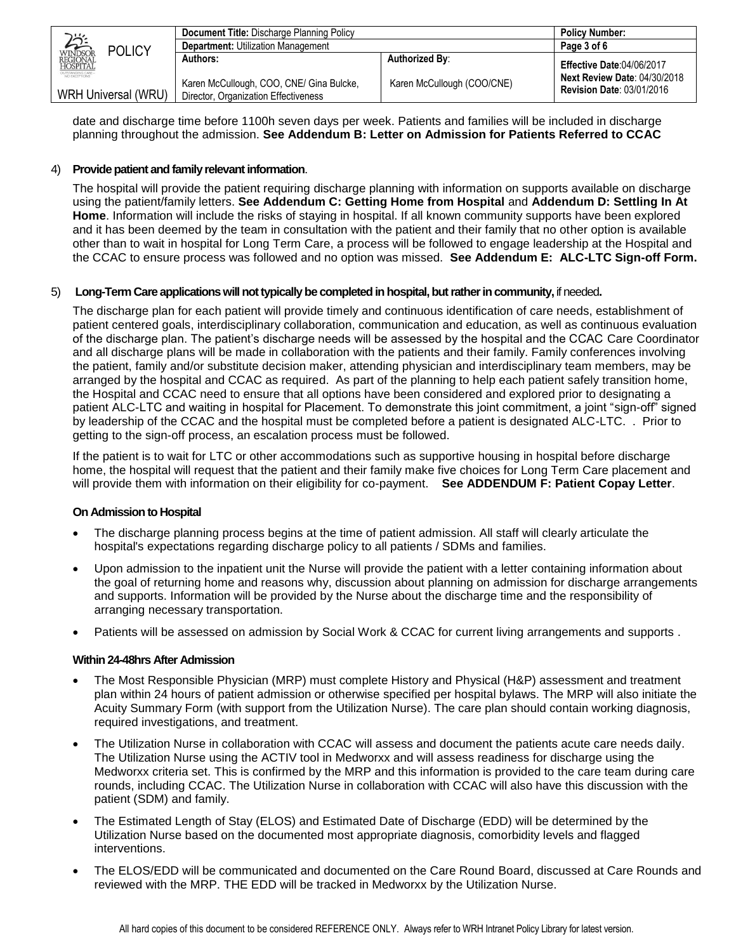|                                                                  | <b>Document Title: Discharge Planning Policy</b>                                 |                            | <b>Policy Number:</b>                                                   |
|------------------------------------------------------------------|----------------------------------------------------------------------------------|----------------------------|-------------------------------------------------------------------------|
| <b>POLICY</b>                                                    | <b>Department: Utilization Management</b>                                        |                            | Page 3 of 6                                                             |
| WINDSOR<br>REGIONAL<br>HOSPITAL                                  | Authors:                                                                         | <b>Authorized By:</b>      | <b>Effective Date:04/06/2017</b>                                        |
| OUTSTANDING CARE-<br>NO EXCEPTIONS<br><b>WRH Universal (WRU)</b> | Karen McCullough, COO, CNE/ Gina Bulcke,<br>Director, Organization Effectiveness | Karen McCullough (COO/CNE) | <b>Next Review Date: 04/30/2018</b><br><b>Revision Date: 03/01/2016</b> |

date and discharge time before 1100h seven days per week. Patients and families will be included in discharge planning throughout the admission. **See Addendum B: Letter on Admission for Patients Referred to CCAC**

#### 4) **Provide patient and family relevant information**.

The hospital will provide the patient requiring discharge planning with information on supports available on discharge using the patient/family letters. **See Addendum C: Getting Home from Hospital** and **Addendum D: Settling In At Home**. Information will include the risks of staying in hospital. If all known community supports have been explored and it has been deemed by the team in consultation with the patient and their family that no other option is available other than to wait in hospital for Long Term Care, a process will be followed to engage leadership at the Hospital and the CCAC to ensure process was followed and no option was missed. **See Addendum E: ALC-LTC Sign-off Form.**

#### 5) **Long-Term Care applications will not typically be completed in hospital, but rather in community,** if needed**.**

The discharge plan for each patient will provide timely and continuous identification of care needs, establishment of patient centered goals, interdisciplinary collaboration, communication and education, as well as continuous evaluation of the discharge plan. The patient's discharge needs will be assessed by the hospital and the CCAC Care Coordinator and all discharge plans will be made in collaboration with the patients and their family. Family conferences involving the patient, family and/or substitute decision maker, attending physician and interdisciplinary team members, may be arranged by the hospital and CCAC as required. As part of the planning to help each patient safely transition home, the Hospital and CCAC need to ensure that all options have been considered and explored prior to designating a patient ALC-LTC and waiting in hospital for Placement. To demonstrate this joint commitment, a joint "sign-off" signed by leadership of the CCAC and the hospital must be completed before a patient is designated ALC-LTC. . Prior to getting to the sign-off process, an escalation process must be followed.

If the patient is to wait for LTC or other accommodations such as supportive housing in hospital before discharge home, the hospital will request that the patient and their family make five choices for Long Term Care placement and will provide them with information on their eligibility for co-payment. **See ADDENDUM F: Patient Copay Letter**.

#### **On Admission to Hospital**

- The discharge planning process begins at the time of patient admission. All staff will clearly articulate the hospital's expectations regarding discharge policy to all patients / SDMs and families.
- Upon admission to the inpatient unit the Nurse will provide the patient with a letter containing information about the goal of returning home and reasons why, discussion about planning on admission for discharge arrangements and supports. Information will be provided by the Nurse about the discharge time and the responsibility of arranging necessary transportation.
- Patients will be assessed on admission by Social Work & CCAC for current living arrangements and supports .

#### **Within 24-48hrs After Admission**

- The Most Responsible Physician (MRP) must complete History and Physical (H&P) assessment and treatment plan within 24 hours of patient admission or otherwise specified per hospital bylaws. The MRP will also initiate the Acuity Summary Form (with support from the Utilization Nurse). The care plan should contain working diagnosis, required investigations, and treatment.
- The Utilization Nurse in collaboration with CCAC will assess and document the patients acute care needs daily. The Utilization Nurse using the ACTIV tool in Medworxx and will assess readiness for discharge using the Medworxx criteria set. This is confirmed by the MRP and this information is provided to the care team during care rounds, including CCAC. The Utilization Nurse in collaboration with CCAC will also have this discussion with the patient (SDM) and family.
- The Estimated Length of Stay (ELOS) and Estimated Date of Discharge (EDD) will be determined by the Utilization Nurse based on the documented most appropriate diagnosis, comorbidity levels and flagged interventions.
- The ELOS/EDD will be communicated and documented on the Care Round Board, discussed at Care Rounds and reviewed with the MRP. THE EDD will be tracked in Medworxx by the Utilization Nurse.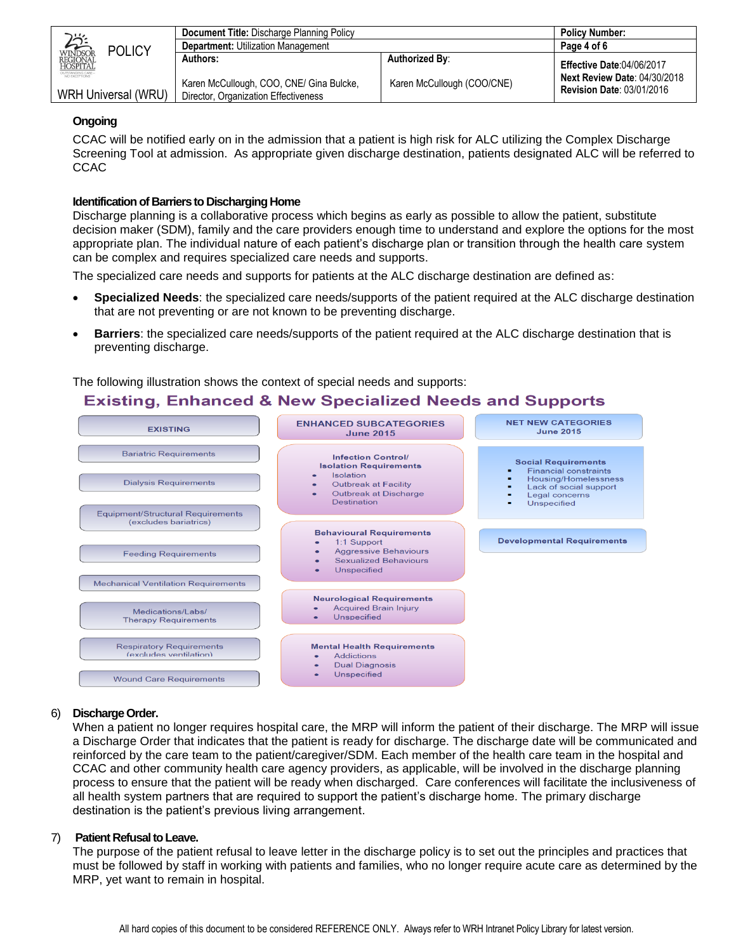|                                                           | <b>Document Title: Discharge Planning Policy</b>                                 |                            | <b>Policy Number:</b>                                                   |
|-----------------------------------------------------------|----------------------------------------------------------------------------------|----------------------------|-------------------------------------------------------------------------|
| <b>POLICY</b>                                             | <b>Department: Utilization Management</b>                                        |                            | Page 4 of 6                                                             |
| <b>ANS</b>                                                | Authors:                                                                         | <b>Authorized By:</b>      | <b>Effective Date:04/06/2017</b>                                        |
| OUTSTANDING CARE-<br>NO EXCEPTIONS<br>WRH Universal (WRU) | Karen McCullough, COO, CNE/ Gina Bulcke,<br>Director, Organization Effectiveness | Karen McCullough (COO/CNE) | <b>Next Review Date: 04/30/2018</b><br><b>Revision Date: 03/01/2016</b> |

#### **Ongoing**

CCAC will be notified early on in the admission that a patient is high risk for ALC utilizing the Complex Discharge Screening Tool at admission. As appropriate given discharge destination, patients designated ALC will be referred to **CCAC** 

#### **Identification of Barriers to Discharging Home**

Discharge planning is a collaborative process which begins as early as possible to allow the patient, substitute decision maker (SDM), family and the care providers enough time to understand and explore the options for the most appropriate plan. The individual nature of each patient's discharge plan or transition through the health care system can be complex and requires specialized care needs and supports.

The specialized care needs and supports for patients at the ALC discharge destination are defined as:

- **Specialized Needs**: the specialized care needs/supports of the patient required at the ALC discharge destination that are not preventing or are not known to be preventing discharge.
- **Barriers**: the specialized care needs/supports of the patient required at the ALC discharge destination that is preventing discharge.

The following illustration shows the context of special needs and supports:

## **Existing, Enhanced & New Specialized Needs and Supports**



#### 6) **Discharge Order.**

When a patient no longer requires hospital care, the MRP will inform the patient of their discharge. The MRP will issue a Discharge Order that indicates that the patient is ready for discharge. The discharge date will be communicated and reinforced by the care team to the patient/caregiver/SDM. Each member of the health care team in the hospital and CCAC and other community health care agency providers, as applicable, will be involved in the discharge planning process to ensure that the patient will be ready when discharged. Care conferences will facilitate the inclusiveness of all health system partners that are required to support the patient's discharge home. The primary discharge destination is the patient's previous living arrangement.

#### 7) **Patient Refusal to Leave.**

The purpose of the patient refusal to leave letter in the discharge policy is to set out the principles and practices that must be followed by staff in working with patients and families, who no longer require acute care as determined by the MRP, yet want to remain in hospital.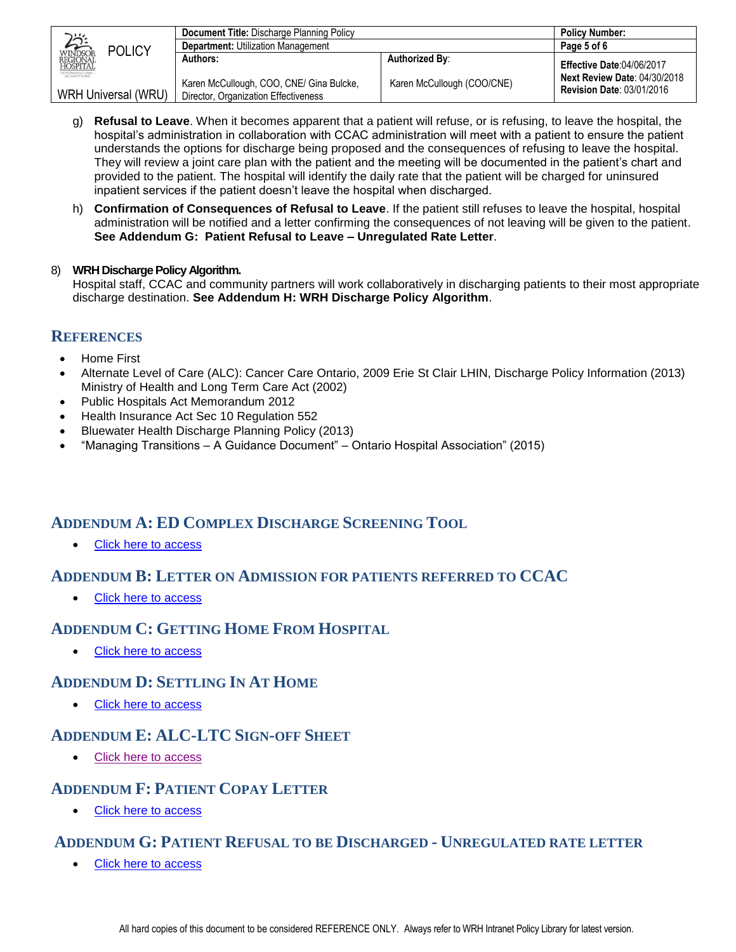|                                                           | Document Title: Discharge Planning Policy                                        |                            | <b>Policy Number:</b>                                                   |
|-----------------------------------------------------------|----------------------------------------------------------------------------------|----------------------------|-------------------------------------------------------------------------|
| <b>POLICY</b>                                             | <b>Department: Utilization Management</b>                                        |                            | Page 5 of 6                                                             |
| WINDSOR<br>REGIONAL<br>HOSPITAL                           | Authors:                                                                         | <b>Authorized By:</b>      | <b>Effective Date:04/06/2017</b>                                        |
| OUTSTANDING CARE-<br>NO EXCEPTIONS<br>WRH Universal (WRU) | Karen McCullough, COO, CNE/ Gina Bulcke,<br>Director, Organization Effectiveness | Karen McCullough (COO/CNE) | <b>Next Review Date: 04/30/2018</b><br><b>Revision Date: 03/01/2016</b> |

- g) **Refusal to Leave**. When it becomes apparent that a patient will refuse, or is refusing, to leave the hospital, the hospital's administration in collaboration with CCAC administration will meet with a patient to ensure the patient understands the options for discharge being proposed and the consequences of refusing to leave the hospital. They will review a joint care plan with the patient and the meeting will be documented in the patient's chart and provided to the patient. The hospital will identify the daily rate that the patient will be charged for uninsured inpatient services if the patient doesn't leave the hospital when discharged.
- h) **Confirmation of Consequences of Refusal to Leave**. If the patient still refuses to leave the hospital, hospital administration will be notified and a letter confirming the consequences of not leaving will be given to the patient. **See Addendum G: Patient Refusal to Leave – Unregulated Rate Letter**.

### 8) **WRH Discharge Policy Algorithm.**

Hospital staff, CCAC and community partners will work collaboratively in discharging patients to their most appropriate discharge destination. **See Addendum H: WRH Discharge Policy Algorithm**.

### <span id="page-4-0"></span>**REFERENCES**

- Home First
- Alternate Level of Care (ALC): Cancer Care Ontario, 2009 Erie St Clair LHIN, Discharge Policy Information (2013) Ministry of Health and Long Term Care Act (2002)
- Public Hospitals Act Memorandum 2012
- Health Insurance Act Sec 10 Regulation 552
- Bluewater Health Discharge Planning Policy (2013)
- "Managing Transitions A Guidance Document" Ontario Hospital Association" (2015)

### <span id="page-4-1"></span>**ADDENDUM A: ED COMPLEX DISCHARGE SCREENING TOOL**

• [Click here to access](http://wrhintranet.wrh.on.ca/Site_Published/intranet/document_render.aspx?documentRender.IdType=5&documentRender.GenericField=&documentRender.Id=109475)

### <span id="page-4-2"></span>**ADDENDUM B: LETTER ON ADMISSION FOR PATIENTS REFERRED TO CCAC**

• [Click here to access](http://wrhintranet.wrh.on.ca/Site_Published/intranet/document_render.aspx?documentRender.IdType=5&documentRender.GenericField=&documentRender.Id=109478)

## <span id="page-4-3"></span>**ADDENDUM C: GETTING HOME FROM HOSPITAL**

[Click here to access](http://wrhintranet.wrh.on.ca/Site_Published/intranet/document_render.aspx?documentRender.IdType=5&documentRender.GenericField=&documentRender.Id=109480)

### <span id="page-4-4"></span>**ADDENDUM D: SETTLING IN AT HOME**

• [Click here to access](http://wrhintranet.wrh.on.ca/Site_Published/intranet/document_render.aspx?documentRender.IdType=5&documentRender.GenericField=&documentRender.Id=109482)

## <span id="page-4-5"></span>**ADDENDUM E: ALC-LTC SIGN-OFF SHEET**

[Click here to access](http://wrhintranet.wrh.on.ca/Site_Published/intranet/document_render.aspx?documentRender.IdType=5&documentRender.GenericField=&documentRender.Id=109477)

## <span id="page-4-6"></span>**ADDENDUM F: PATIENT COPAY LETTER**

[Click here to access](http://wrhintranet.wrh.on.ca/Site_Published/intranet/document_render.aspx?documentRender.IdType=5&documentRender.GenericField=&documentRender.Id=109476)

## <span id="page-4-7"></span>**ADDENDUM G: PATIENT REFUSAL TO BE DISCHARGED - UNREGULATED RATE LETTER**

[Click here to access](http://wrhintranet.wrh.on.ca/Site_Published/intranet/document_render.aspx?documentRender.IdType=5&documentRender.GenericField=&documentRender.Id=109484)